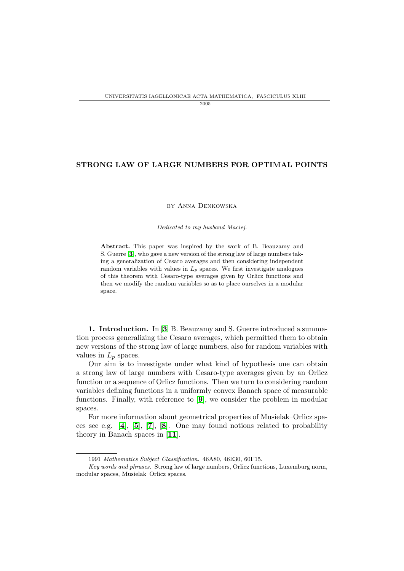## STRONG LAW OF LARGE NUMBERS FOR OPTIMAL POINTS

by Anna Denkowska

Dedicated to my husband Maciej.

Abstract. This paper was inspired by the work of B. Beauzamy and S. Guerre [[3](#page-15-0)], who gave a new version of the strong law of large numbers taking a generalization of Cesaro averages and then considering independent random variables with values in  $L_p$  spaces. We first investigate analogues of this theorem with Cesaro-type averages given by Orlicz functions and then we modify the random variables so as to place ourselves in a modular space.

1. Introduction. In [[3](#page-15-0)] B. Beauzamy and S. Guerre introduced a summation process generalizing the Cesaro averages, which permitted them to obtain new versions of the strong law of large numbers, also for random variables with values in  $L_p$  spaces.

Our aim is to investigate under what kind of hypothesis one can obtain a strong law of large numbers with Cesaro-type averages given by an Orlicz function or a sequence of Orlicz functions. Then we turn to considering random variables defining functions in a uniformly convex Banach space of measurable functions. Finally, with reference to [[9](#page-15-1)], we consider the problem in modular spaces.

For more information about geometrical properties of Musielak–Orlicz spaces see e.g. [[4](#page-15-2)], [[5](#page-15-3)], [[7](#page-15-4)], [[8](#page-15-5)]. One may found notions related to probability theory in Banach spaces in [[11](#page-15-6)].

<sup>1991</sup> Mathematics Subject Classification. 46A80, 46E30, 60F15.

Key words and phrases. Strong law of large numbers, Orlicz functions, Luxemburg norm, modular spaces, Musielak–Orlicz spaces.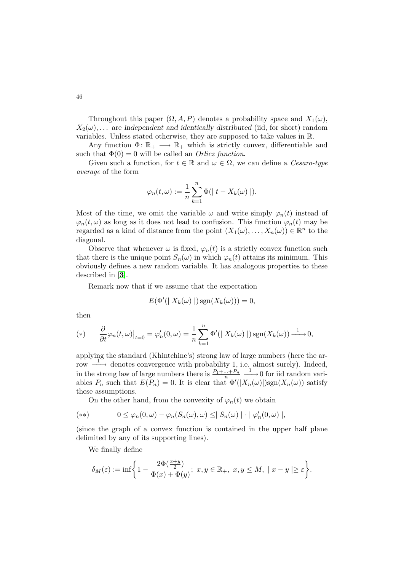Throughout this paper  $(\Omega, A, P)$  denotes a probability space and  $X_1(\omega)$ ,  $X_2(\omega)$ ,... are independent and identically distributed (iid, for short) random variables. Unless stated otherwise, they are supposed to take values in R.

Any function  $\Phi: \mathbb{R}_+ \longrightarrow \mathbb{R}_+$  which is strictly convex, differentiable and such that  $\Phi(0) = 0$  will be called an *Orlicz function*.

Given such a function, for  $t \in \mathbb{R}$  and  $\omega \in \Omega$ , we can define a *Cesaro-type* average of the form

$$
\varphi_n(t,\omega) := \frac{1}{n} \sum_{k=1}^n \Phi(|t - X_k(\omega)|).
$$

Most of the time, we omit the variable  $\omega$  and write simply  $\varphi_n(t)$  instead of  $\varphi_n(t,\omega)$  as long as it does not lead to confusion. This function  $\varphi_n(t)$  may be regarded as a kind of distance from the point  $(X_1(\omega), \ldots, X_n(\omega)) \in \mathbb{R}^n$  to the diagonal.

Observe that whenever  $\omega$  is fixed,  $\varphi_n(t)$  is a strictly convex function such that there is the unique point  $S_n(\omega)$  in which  $\varphi_n(t)$  attains its minimum. This obviously defines a new random variable. It has analogous properties to these described in [[3](#page-15-0)].

Remark now that if we assume that the expectation

<span id="page-1-0"></span>
$$
E(\Phi'(|X_k(\omega)|)\operatorname{sgn}(X_k(\omega)))=0,
$$

then

$$
(*) \qquad \frac{\partial}{\partial t} \varphi_n(t,\omega)\big|_{t=0} = \varphi'_n(0,\omega) = \frac{1}{n} \sum_{k=1}^n \Phi'(|X_k(\omega)|) \operatorname{sgn}(X_k(\omega)) \xrightarrow{1} 0,
$$

applying the standard (Khintchine's) strong law of large numbers (here the ar- $\overrightarrow{1}$  denotes convergence with probability 1, i.e. almost surely). Indeed, in the strong law of large numbers there is  $\frac{P_1 + ... + P_n}{n} \xrightarrow{1} 0$  for iid random variables  $P_n$  such that  $E(P_n) = 0$ . It is clear that  $\Phi'(|X_n(\omega)|)$ sgn $(X_n(\omega))$  satisfy these assumptions.

On the other hand, from the convexity of  $\varphi_n(t)$  we obtain

$$
(**) \qquad 0 \leq \varphi_n(0,\omega) - \varphi_n(S_n(\omega),\omega) \leq |S_n(\omega)| \cdot |\varphi'_n(0,\omega)|,
$$

(since the graph of a convex function is contained in the upper half plane delimited by any of its supporting lines).

We finally define

$$
\delta_M(\varepsilon):=\inf\biggl\{1-\frac{2\Phi(\frac{x+y}{2})}{\Phi(x)+\Phi(y)};\ x,y\in\mathbb{R}_+,\ x,y\leq M,\ \mid x-y\mid\geq\varepsilon\biggr\}.
$$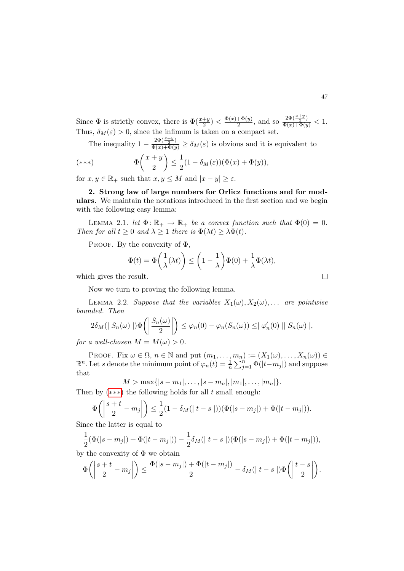Since  $\Phi$  is strictly convex, there is  $\Phi(\frac{x+y}{2}) < \frac{\Phi(x)+\Phi(y)}{2}$  $\frac{+\Phi(y)}{2}$ , and so  $\frac{2\Phi(\frac{x+y}{2})}{\Phi(x)+\Phi(y)} < 1$ . Thus,  $\delta_M(\varepsilon) > 0$ , since the infimum is taken on a compact set.

The inequality  $1 - \frac{2\Phi(\frac{x+y}{2})}{\Phi(x)+\Phi(y)} \ge \delta_M(\varepsilon)$  is obvious and it is equivalent to

$$
(***) \qquad \Phi\left(\frac{x+y}{2}\right) \le \frac{1}{2}(1-\delta_M(\varepsilon))(\Phi(x)+\Phi(y)),
$$

for  $x, y \in \mathbb{R}_+$  such that  $x, y \leq M$  and  $|x - y| \geq \varepsilon$ .

2. Strong law of large numbers for Orlicz functions and for modulars. We maintain the notations introduced in the first section and we begin with the following easy lemma:

<span id="page-2-1"></span>LEMMA 2.1. let  $\Phi \colon \mathbb{R}_+ \to \mathbb{R}_+$  be a convex function such that  $\Phi(0) = 0$ . Then for all  $t \geq 0$  and  $\lambda \geq 1$  there is  $\Phi(\lambda t) \geq \lambda \Phi(t)$ .

PROOF. By the convexity of  $\Phi$ ,

$$
\Phi(t) = \Phi\left(\frac{1}{\lambda}(\lambda t)\right) \le \left(1 - \frac{1}{\lambda}\right)\Phi(0) + \frac{1}{\lambda}\Phi(\lambda t),
$$

which gives the result.

Now we turn to proving the following lemma.

<span id="page-2-2"></span>LEMMA 2.2. Suppose that the variables  $X_1(\omega), X_2(\omega), \ldots$  are pointwise bounded. Then

$$
2\delta_M(|S_n(\omega)|)\Phi\left(\left|\frac{S_n(\omega)}{2}\right|\right) \leq \varphi_n(0) - \varphi_n(S_n(\omega)) \leq |\varphi_n'(0)| |S_n(\omega)|,
$$

for a well-chosen  $M = M(\omega) > 0$ .

PROOF. Fix  $\omega \in \Omega$ ,  $n \in \mathbb{N}$  and put  $(m_1, \ldots, m_n) := (X_1(\omega), \ldots, X_n(\omega)) \in$  $\mathbb{R}^n$ . Let s denote the minimum point of  $\varphi_n(t) = \frac{1}{n} \sum_{j=1}^n \Phi(|t-m_j|)$  and suppose that

$$
M > \max\{|s - m_1|, \ldots, |s - m_n|, |m_1|, \ldots, |m_n|\}.
$$

Then by  $(***)$  the following holds for all t small enough:

$$
\Phi\left(\left|\frac{s+t}{2} - m_j\right|\right) \le \frac{1}{2}(1 - \delta_M(|t-s|))(\Phi(|s-m_j|) + \Phi(|t-m_j|)).
$$

Since the latter is equal to

$$
\frac{1}{2}(\Phi(|s-m_j|) + \Phi(|t-m_j|)) - \frac{1}{2}\delta_M(|t-s|)(\Phi(|s-m_j|) + \Phi(|t-m_j|)),
$$

by the convexity of 
$$
\Phi
$$
 we obtain

$$
\Phi\bigg(\bigg|\frac{s+t}{2}-m_j\bigg|\bigg)\leq \frac{\Phi(|s-m_j|)+\Phi(|t-m_j|)}{2}-\delta_M(|t-s|)\Phi\bigg(\bigg|\frac{t-s}{2}\bigg|\bigg).
$$

<span id="page-2-0"></span> $\Box$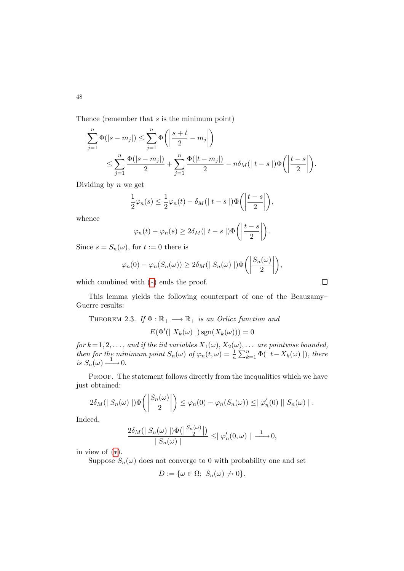Thence (remember that s is the minimum point)

$$
\sum_{j=1}^{n} \Phi(|s - m_j|) \le \sum_{j=1}^{n} \Phi\left(\left|\frac{s+t}{2} - m_j\right|\right) \n\le \sum_{j=1}^{n} \frac{\Phi(|s - m_j|)}{2} + \sum_{j=1}^{n} \frac{\Phi(|t - m_j|)}{2} - n\delta_M(|t - s|) \Phi\left(\left|\frac{t - s}{2}\right|\right).
$$

Dividing by  $n$  we get

$$
\frac{1}{2}\varphi_n(s) \leq \frac{1}{2}\varphi_n(t) - \delta_M(|t-s|)\Phi\left(\left|\frac{t-s}{2}\right|\right),\,
$$

whence

$$
\varphi_n(t) - \varphi_n(s) \ge 2\delta_M(|t-s|) \Phi\left(\left|\frac{t-s}{2}\right|\right).
$$

Since  $s = S_n(\omega)$ , for  $t := 0$  there is

$$
\varphi_n(0) - \varphi_n(S_n(\omega)) \ge 2\delta_M(|S_n(\omega)|) \Phi\left(\left|\frac{S_n(\omega)}{2}\right|\right),
$$

which combined with ([∗](#page-1-0)) ends the proof.

This lemma yields the following counterpart of one of the Beauzamy– Guerre results:

THEOREM 2.3. If 
$$
\Phi : \mathbb{R}_+ \longrightarrow \mathbb{R}_+
$$
 is an Orlicz function and

$$
E(\Phi'(| X_k(\omega) |) \operatorname{sgn}(X_k(\omega))) = 0
$$

for  $k$  = 1, 2,  $\dots$  , and if the iid variables  $X_1(\omega), X_2(\omega), \dots$  are pointwise bounded, then for the minimum point  $S_n(\omega)$  of  $\varphi_n(t,\omega) = \frac{1}{n} \sum_{k=1}^n \Phi(|t - X_k(\omega)|)$ , there is  $S_n(\omega) \longrightarrow 0$ .

PROOF. The statement follows directly from the inequalities which we have just obtained:

$$
2\delta_M(|S_n(\omega)|)\Phi\left(\left|\frac{S_n(\omega)}{2}\right|\right)\leq \varphi_n(0)-\varphi_n(S_n(\omega))\leq |\varphi_n'(0)||S_n(\omega)|.
$$

Indeed,

$$
\frac{2\delta_M(\mid S_n(\omega)\mid) \Phi\big(\big|\frac{S_n(\omega)}{2}\big|\big)}{\mid S_n(\omega)\mid} \leq \mid \varphi_n'(0,\omega)\mid \frac{1}{\cdots} 0,
$$

in view of ([∗](#page-1-0)).

Suppose  $S_n(\omega)$  does not converge to 0 with probability one and set

$$
D := \{ \omega \in \Omega; \ S_n(\omega) \neq 0 \}.
$$

48

 $\Box$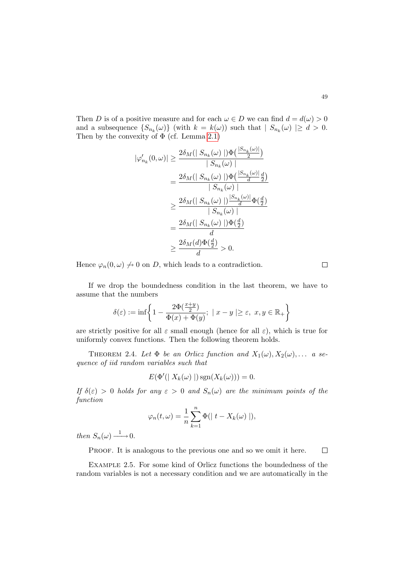Then D is of a positive measure and for each  $\omega \in D$  we can find  $d = d(\omega) > 0$ and a subsequence  $\{S_{n_k}(\omega)\}\$  (with  $k = k(\omega)$ ) such that  $|S_{n_k}(\omega)| \geq d > 0$ . Then by the convexity of  $\Phi$  (cf. Lemma [2.1\)](#page-2-1)

$$
\begin{aligned} |\varphi_{n_k}'(0,\omega)| &\geq \frac{2\delta_M(|S_{n_k}(\omega)|)\Phi\left(\frac{|S_{n_k}(\omega)|}{2}\right)}{|S_{n_k}(\omega)|} \\ &= \frac{2\delta_M(|S_{n_k}(\omega)|)\Phi\left(\frac{|S_{n_k}(\omega)|}{d}\frac{d}{2}\right)}{|S_{n_k}(\omega)|} \\ &\geq \frac{2\delta_M(|S_{n_k}(\omega)|)^{\frac{|S_{n_k}(\omega)|}{d}}\Phi\left(\frac{d}{2}\right)}{|S_{n_k}(\omega)|} \\ &= \frac{2\delta_M(|S_{n_k}(\omega)|)\Phi\left(\frac{d}{2}\right)}{d} \\ &\geq \frac{2\delta_M(d)\Phi\left(\frac{d}{2}\right)}{d} > 0. \end{aligned}
$$

Hence  $\varphi_n(0,\omega) \nrightarrow 0$  on D, which leads to a contradiction.

If we drop the boundedness condition in the last theorem, we have to assume that the numbers

$$
\delta(\varepsilon):=\inf\biggl\{1-\frac{2\Phi(\frac{x+y}{2})}{\Phi(x)+\Phi(y)};\ \, | \,\,x-y\mid\geq\varepsilon,\,\,x,y\in\mathbb{R}_+\biggr\}
$$

are strictly positive for all  $\varepsilon$  small enough (hence for all  $\varepsilon$ ), which is true for uniformly convex functions. Then the following theorem holds.

THEOREM 2.4. Let  $\Phi$  be an Orlicz function and  $X_1(\omega), X_2(\omega), \ldots$  a sequence of iid random variables such that

$$
E(\Phi'(| X_k(\omega) |) \operatorname{sgn}(X_k(\omega))) = 0.
$$

If  $\delta(\varepsilon) > 0$  holds for any  $\varepsilon > 0$  and  $S_n(\omega)$  are the minimum points of the function

$$
\varphi_n(t,\omega) = \frac{1}{n} \sum_{k=1}^n \Phi(|t - X_k(\omega)|),
$$

then  $S_n(\omega) \longrightarrow 0$ .

PROOF. It is analogous to the previous one and so we omit it here.  $\Box$ 

Example 2.5. For some kind of Orlicz functions the boundedness of the random variables is not a necessary condition and we are automatically in the

 $\Box$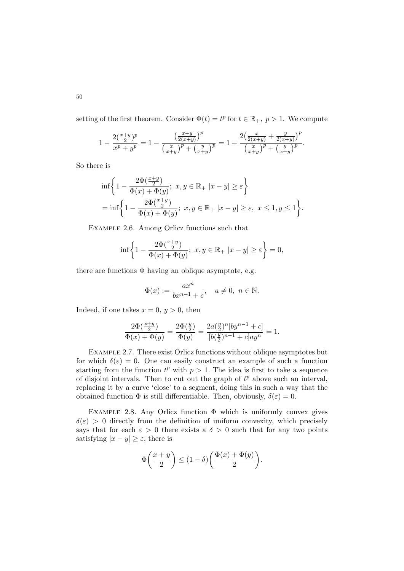setting of the first theorem. Consider  $\Phi(t) = t^p$  for  $t \in \mathbb{R}_+$ ,  $p > 1$ . We compute

$$
1 - \frac{2(\frac{x+y}{2})^p}{x^p + y^p} = 1 - \frac{\left(\frac{x+y}{2(x+y)}\right)^p}{\left(\frac{x}{x+y}\right)^p + \left(\frac{y}{x+y}\right)^p} = 1 - \frac{2\left(\frac{x}{2(x+y)} + \frac{y}{2(x+y)}\right)^p}{\left(\frac{x}{x+y}\right)^p + \left(\frac{y}{x+y}\right)^p}.
$$

So there is

$$
\begin{aligned} &\inf\bigg\{1-\frac{2\Phi(\frac{x+y}{2})}{\Phi(x)+\Phi(y)};\ x,y\in\mathbb{R}_+ \ |x-y|\ge \varepsilon\bigg\}\\ &=\inf\bigg\{1-\frac{2\Phi(\frac{x+y}{2})}{\Phi(x)+\Phi(y)};\ x,y\in\mathbb{R}_+ \ |x-y|\ge \varepsilon,\ x\le 1,y\le 1\bigg\}. \end{aligned}
$$

Example 2.6. Among Orlicz functions such that

$$
\inf\biggl\{1-\frac{2\Phi(\frac{x+y}{2})}{\Phi(x)+\Phi(y)};\ x,y\in\mathbb{R}_+\;|x-y|\geq\varepsilon\biggr\}=0,
$$

there are functions  $\Phi$  having an oblique asymptote, e.g.

$$
\Phi(x) := \frac{ax^n}{bx^{n-1} + c}, \quad a \neq 0, \ n \in \mathbb{N}.
$$

Indeed, if one takes  $x = 0, y > 0$ , then

$$
\frac{2\Phi(\frac{x+y}{2})}{\Phi(x)+\Phi(y)}=\frac{2\Phi(\frac{y}{2})}{\Phi(y)}=\frac{2a(\frac{y}{2})^n[by^{n-1}+c]}{[b(\frac{y}{2})^{n-1}+c]ay^n}=1.
$$

Example 2.7. There exist Orlicz functions without oblique asymptotes but for which  $\delta(\varepsilon) = 0$ . One can easily construct an example of such a function starting from the function  $t^p$  with  $p > 1$ . The idea is first to take a sequence of disjoint intervals. Then to cut out the graph of  $t^p$  above such an interval, replacing it by a curve 'close' to a segment, doing this in such a way that the obtained function  $\Phi$  is still differentiable. Then, obviously,  $\delta(\varepsilon) = 0$ .

EXAMPLE 2.8. Any Orlicz function  $\Phi$  which is uniformly convex gives  $\delta(\varepsilon) > 0$  directly from the definition of uniform convexity, which precisely says that for each  $\varepsilon > 0$  there exists a  $\delta > 0$  such that for any two points satisfying  $|x - y| \ge \varepsilon$ , there is

$$
\Phi\left(\frac{x+y}{2}\right) \le (1-\delta)\left(\frac{\Phi(x)+\Phi(y)}{2}\right).
$$

50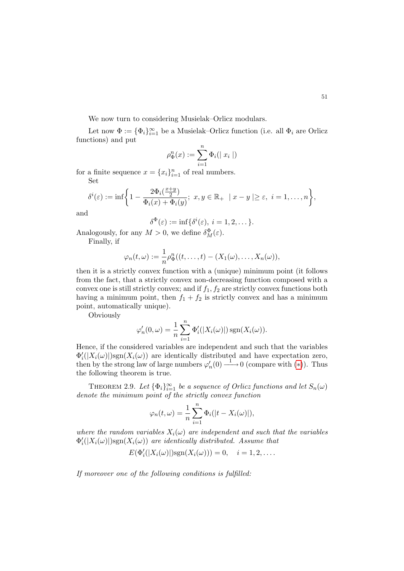We now turn to considering Musielak–Orlicz modulars.

Let now  $\Phi := {\Phi_i}_{i=1}^{\infty}$  be a Musielak–Orlicz function (i.e. all  $\Phi_i$  are Orlicz functions) and put

$$
\rho_{\Phi}^n(x):=\sum_{i=1}^n\Phi_i(\mid x_i\mid)
$$

for a finite sequence  $x = \{x_i\}_{i=1}^n$  of real numbers. Set

$$
\delta^i(\varepsilon) := \inf \bigg\{ 1 - \frac{2\Phi_i(\frac{x+y}{2})}{\Phi_i(x) + \Phi_i(y)}; \ x, y \in \mathbb{R}_+ \ | \ x - y \ge \varepsilon, \ i = 1, \dots, n \bigg\},
$$

and

$$
\delta^{\Phi}(\varepsilon) := \inf \{ \delta^i(\varepsilon), \ i = 1, 2, \dots \}.
$$

Analogously, for any  $M > 0$ , we define  $\delta_M^{\Phi}(\varepsilon)$ .

Finally, if

$$
\varphi_n(t,\omega) := \frac{1}{n} \rho_{\Phi}^n((t,\ldots,t) - (X_1(\omega),\ldots,X_n(\omega)),
$$

then it is a strictly convex function with a (unique) minimum point (it follows from the fact, that a strictly convex non-decreasing function composed with a convex one is still strictly convex; and if  $f_1, f_2$  are strictly convex functions both having a minimum point, then  $f_1 + f_2$  is strictly convex and has a minimum point, automatically unique).

Obviously

$$
\varphi'_n(0,\omega) = \frac{1}{n} \sum_{i=1}^n \Phi'_i(|X_i(\omega)|) \operatorname{sgn}(X_i(\omega)).
$$

Hence, if the considered variables are independent and such that the variables  $\Phi'_{i}(|X_{i}(\omega)|)$ sgn $(X_{i}(\omega))$  are identically distributed and have expectation zero, then by the strong law of large numbers  $\varphi'_n(0) \stackrel{1}{\longrightarrow} 0$  (compare with  $(*)$ ). Thus the following theorem is true.

THEOREM 2.9. Let  $\{\Phi_i\}_{i=1}^{\infty}$  be a sequence of Orlicz functions and let  $S_n(\omega)$ denote the minimum point of the strictly convex function

$$
\varphi_n(t,\omega) = \frac{1}{n} \sum_{i=1}^n \Phi_i(|t - X_i(\omega)|),
$$

where the random variables  $X_i(\omega)$  are independent and such that the variables  $\Phi'_{i}(|X_{i}(\omega)|)$ sgn $(X_{i}(\omega))$  are identically distributed. Assume that

$$
E(\Phi'_i(|X_i(\omega)|)\mathrm{sgn}(X_i(\omega)))=0, \quad i=1,2,\ldots.
$$

If moreover one of the following conditions is fulfilled: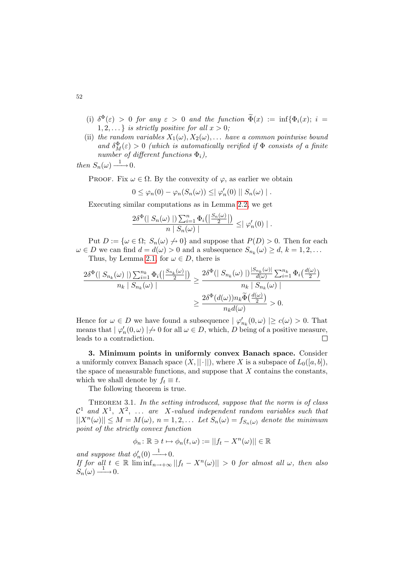- (i)  $\delta^{\Phi}(\varepsilon) > 0$  for any  $\varepsilon > 0$  and the function  $\widetilde{\Phi}(x) := \inf \{ \Phi_i(x); i =$  $1, 2, \ldots$ } is strictly positive for all  $x > 0$ ;
- (ii) the random variables  $X_1(\omega), X_2(\omega), \ldots$  have a common pointwise bound and  $\delta_M^{\Phi}(\varepsilon) > 0$  (which is automatically verified if  $\Phi$  consists of a finite number of different functions  $\Phi_i$ ),

then  $S_n(\omega) \longrightarrow 0$ .

PROOF. Fix  $\omega \in \Omega$ . By the convexity of  $\varphi$ , as earlier we obtain

$$
0 \leq \varphi_n(0) - \varphi_n(S_n(\omega)) \leq |\varphi'_n(0)||S_n(\omega)|.
$$

Executing similar computations as in Lemma [2.2,](#page-2-2) we get

$$
\frac{2\delta^{\Phi}(|S_n(\omega)|)\sum_{i=1}^n \Phi_i(|\frac{S_n(\omega)}{2}|)}{n |S_n(\omega)|} \leq |\varphi'_n(0)|.
$$

Put  $D := {\omega \in \Omega$ ;  $S_n(\omega) \neq 0}$  and suppose that  $P(D) > 0$ . Then for each  $\omega \in D$  we can find  $d = d(\omega) > 0$  and a subsequence  $S_{n_k}(\omega) \geq d, k = 1, 2, \dots$ Thus, by Lemma [2.1,](#page-2-1) for  $\omega \in D$ , there is

$$
\frac{2\delta^{\Phi}(\mid S_{n_k}(\omega)\mid) \sum_{i=1}^{n_k} \Phi_i(\mid \frac{S_{n_k}(\omega)}{2}\mid)}{n_k \mid S_{n_k}(\omega)\mid} \geq \frac{2\delta^{\Phi}(\mid S_{n_k}(\omega)\mid) \frac{|S_{n_k}(\omega)|}{d(\omega)} \sum_{i=1}^{n_k} \Phi_i(\frac{d(\omega)}{2})}{n_k \mid S_{n_k}(\omega)\mid}
$$

$$
\geq \frac{2\delta^{\Phi}(d(\omega))n_k \widetilde{\Phi}(\frac{d(\omega)}{2})}{n_k d(\omega)} > 0.
$$

Hence for  $\omega \in D$  we have found a subsequence  $| \varphi'_{n_k}(0, \omega) | \ge c(\omega) > 0$ . That means that  $| \varphi'_n(0, \omega) | \nrightarrow 0$  for all  $\omega \in D$ , which, D being of a positive measure, leads to a contradiction.  $\Box$ 

3. Minimum points in uniformly convex Banach space. Consider a uniformly convex Banach space  $(X, ||\cdot||)$ , where X is a subspace of  $L_0([a, b])$ , the space of measurable functions, and suppose that  $X$  contains the constants, which we shall denote by  $f_t \equiv t$ .

The following theorem is true.

THEOREM 3.1. In the setting introduced, suppose that the norm is of class  $\mathcal{C}^1$  and  $X^1$ ,  $X^2$ , ... are X-valued independent random variables such that  $||X^n(\omega)|| \leq M = M(\omega), n = 1, 2, \dots$  Let  $S_n(\omega) = f_{S_n(\omega)}$  denote the minimum point of the strictly convex function

$$
\phi_n \colon \mathbb{R} \ni t \mapsto \phi_n(t,\omega) := ||f_t - X^n(\omega)|| \in \mathbb{R}
$$

and suppose that  $\phi'_n(0) \longrightarrow 0$ .

If for all  $t \in \mathbb{R}$  liminf $t_{n \to +\infty} ||f_t - X^n(\omega)|| > 0$  for almost all  $\omega$ , then also  $S_n(\omega) \longrightarrow 0.$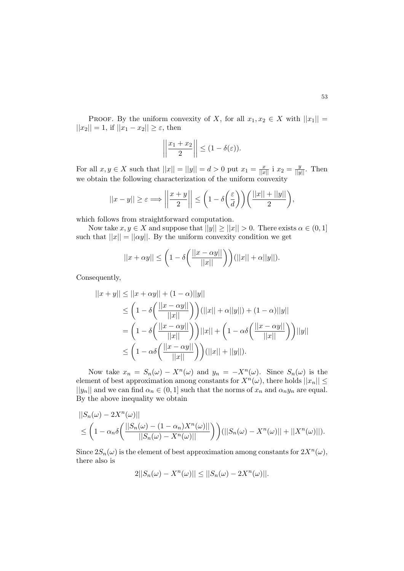PROOF. By the uniform convexity of X, for all  $x_1, x_2 \in X$  with  $||x_1|| =$  $||x_2|| = 1$ , if  $||x_1 - x_2|| \ge \varepsilon$ , then

$$
\left|\left|\frac{x_1+x_2}{2}\right|\right| \leq (1-\delta(\varepsilon)).
$$

For all  $x, y \in X$  such that  $||x|| = ||y|| = d > 0$  put  $x_1 = \frac{x}{||x||}$  i  $x_2 = \frac{y}{||y||}$ . Then we obtain the following characterization of the uniform convexity

$$
||x - y|| \ge \varepsilon \Longrightarrow \left| \left| \frac{x + y}{2} \right| \right| \le \left( 1 - \delta \left( \frac{\varepsilon}{d} \right) \right) \left( \frac{||x|| + ||y||}{2} \right),
$$

which follows from straightforward computation.

Now take  $x, y \in X$  and suppose that  $||y|| \ge ||x|| > 0$ . There exists  $\alpha \in (0, 1]$ such that  $||x|| = ||\alpha y||$ . By the uniform convexity condition we get

$$
||x + \alpha y|| \leq \left(1 - \delta \left(\frac{||x - \alpha y||}{||x||}\right)\right)(||x|| + \alpha ||y||).
$$

Consequently,

$$
||x + y|| \le ||x + \alpha y|| + (1 - \alpha)||y||
$$
  
\n
$$
\le \left(1 - \delta \left(\frac{||x - \alpha y||}{||x||}\right)\right)(||x|| + \alpha||y||) + (1 - \alpha)||y||
$$
  
\n
$$
= \left(1 - \delta \left(\frac{||x - \alpha y||}{||x||}\right)\right)||x|| + \left(1 - \alpha \delta \left(\frac{||x - \alpha y||}{||x||}\right)\right)||y||
$$
  
\n
$$
\le \left(1 - \alpha \delta \left(\frac{||x - \alpha y||}{||x||}\right)\right)(||x|| + ||y||).
$$

Now take  $x_n = S_n(\omega) - X^n(\omega)$  and  $y_n = -X^n(\omega)$ . Since  $S_n(\omega)$  is the element of best approximation among constants for  $X^n(\omega)$ , there holds  $||x_n|| \leq$  $||y_n||$  and we can find  $\alpha_n \in (0,1]$  such that the norms of  $x_n$  and  $\alpha_n y_n$  are equal. By the above inequality we obtain

$$
||S_n(\omega) - 2X^n(\omega)||
$$
  
\n
$$
\leq \left(1 - \alpha_n \delta\left(\frac{||S_n(\omega) - (1 - \alpha_n)X^n(\omega)||}{||S_n(\omega) - X^n(\omega)||}\right)\right)(||S_n(\omega) - X^n(\omega)|| + ||X^n(\omega)||).
$$

Since  $2S_n(\omega)$  is the element of best approximation among constants for  $2X^n(\omega)$ , there also is

$$
2||S_n(\omega) - X^n(\omega)|| \leq ||S_n(\omega) - 2X^n(\omega)||.
$$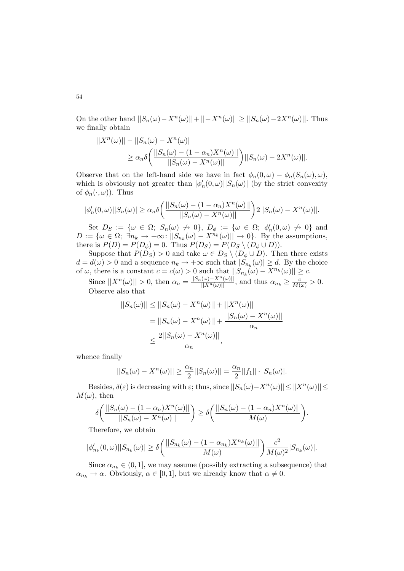On the other hand  $||S_n(\omega) - X^n(\omega)|| + ||-X^n(\omega)|| \ge ||S_n(\omega) - 2X^n(\omega)||$ . Thus we finally obtain

$$
||X^n(\omega)|| - ||S_n(\omega) - X^n(\omega)||
$$
  
\n
$$
\ge \alpha_n \delta \left( \frac{||S_n(\omega) - (1 - \alpha_n)X^n(\omega)||}{||S_n(\omega) - X^n(\omega)||} \right) ||S_n(\omega) - 2X^n(\omega)||.
$$

Observe that on the left-hand side we have in fact  $\phi_n(0,\omega) - \phi_n(S_n(\omega),\omega)$ , which is obviously not greater than  $|\phi'_n(0, \omega)||S_n(\omega)|$  (by the strict convexity of  $\phi_n(\cdot,\omega)$ . Thus

$$
|\phi'_n(0,\omega)||S_n(\omega)| \ge \alpha_n \delta\bigg(\frac{||S_n(\omega) - (1 - \alpha_n)X^n(\omega)||}{||S_n(\omega) - X^n(\omega)||}\bigg)2||S_n(\omega) - X^n(\omega)||.
$$

Set  $D_S := \{\omega \in \Omega; S_n(\omega) \nrightarrow 0\}, D_\phi := \{\omega \in \Omega; \phi'_n(0, \omega) \nrightarrow 0\}$  and  $D := \{\omega \in \Omega; \ \exists n_k \to +\infty: ||S_{n_k}(\omega) - X^{n_k}(\omega)|| \to 0\}.$  By the assumptions, there is  $P(D) = P(D_{\phi}) = 0$ . Thus  $P(D_S) = P(D_S \setminus (D_{\phi} \cup D)).$ 

Suppose that  $P(D_S) > 0$  and take  $\omega \in D_S \setminus (D_{\phi} \cup D)$ . Then there exists  $d = d(\omega) > 0$  and a sequence  $n_k \to +\infty$  such that  $|S_{n_k}(\omega)| \geq d$ . By the choice of  $\omega$ , there is a constant  $c = c(\omega) > 0$  such that  $||S_{n_k}(\omega) - X^{n_k}(\omega)|| \ge c$ .

Since  $||X^n(\omega)|| > 0$ , then  $\alpha_n = \frac{||S_n(\omega) - X^n(\omega)||}{||X^n(\omega)||}$ , and thus  $\alpha_{n_k} \ge \frac{c}{M(\omega)} > 0$ . Observe also that

$$
||S_n(\omega)|| \le ||S_n(\omega) - X^n(\omega)|| + ||X^n(\omega)||
$$
  
= 
$$
||S_n(\omega) - X^n(\omega)|| + \frac{||S_n(\omega) - X^n(\omega)||}{\alpha_n}
$$
  

$$
\le \frac{2||S_n(\omega) - X^n(\omega)||}{\alpha_n},
$$

whence finally

$$
||S_n(\omega) - X^n(\omega)|| \ge \frac{\alpha_n}{2} ||S_n(\omega)|| = \frac{\alpha_n}{2} ||f_1|| \cdot |S_n(\omega)|.
$$

Besides,  $\delta(\varepsilon)$  is decreasing with  $\varepsilon$ ; thus, since  $||S_n(\omega) - X^n(\omega)|| \le ||X^n(\omega)|| \le ||X^n(\omega)||$  $M(\omega)$ , then

$$
\delta\bigg(\frac{||S_n(\omega) - (1 - \alpha_n)X^n(\omega)||}{||S_n(\omega) - X^n(\omega)||}\bigg) \ge \delta\bigg(\frac{||S_n(\omega) - (1 - \alpha_n)X^n(\omega)||}{M(\omega)}\bigg).
$$

Therefore, we obtain

$$
|\phi'_{n_k}(0,\omega)||S_{n_k}(\omega)| \ge \delta \bigg(\frac{||S_{n_k}(\omega) - (1 - \alpha_{n_k})X^{n_k}(\omega)||}{M(\omega)}\bigg) \frac{c^2}{M(\omega)^2}|S_{n_k}(\omega)|.
$$

Since  $\alpha_{n_k} \in (0,1]$ , we may assume (possibly extracting a subsequence) that  $\alpha_{n_k} \to \alpha$ . Obviously,  $\alpha \in [0, 1]$ , but we already know that  $\alpha \neq 0$ .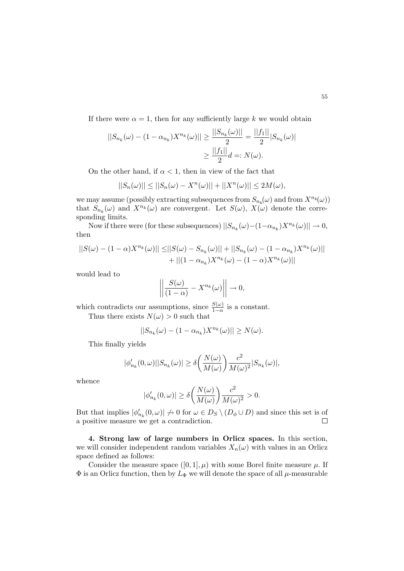If there were  $\alpha = 1$ , then for any sufficiently large k we would obtain

$$
||S_{n_k}(\omega) - (1 - \alpha_{n_k})X^{n_k}(\omega)|| \ge \frac{||S_{n_k}(\omega)||}{2} = \frac{||f_1||}{2}|S_{n_k}(\omega)|
$$
  

$$
\ge \frac{||f_1||}{2}d =: N(\omega).
$$

On the other hand, if  $\alpha < 1$ , then in view of the fact that

$$
||S_n(\omega)|| \leq ||S_n(\omega) - X^n(\omega)|| + ||X^n(\omega)|| \leq 2M(\omega),
$$

we may assume (possibly extracting subsequences from  $S_{n_k}(\omega)$  and from  $X^{n_k}(\omega)$ ) that  $S_{n_k}(\omega)$  and  $X^{n_k}(\omega)$  are convergent. Let  $S(\omega)$ ,  $X(\omega)$  denote the corresponding limits.

Now if there were (for these subsequences)  $||S_{n_k}(\omega) - (1 - \alpha_{n_k})X^{n_k}(\omega)|| \to 0$ , then

$$
||S(\omega) - (1 - \alpha)X^{n_k}(\omega)|| \leq ||S(\omega) - S_{n_k}(\omega)|| + ||S_{n_k}(\omega) - (1 - \alpha_{n_k})X^{n_k}(\omega)|| + ||(1 - \alpha_{n_k})X^{n_k}(\omega) - (1 - \alpha)X^{n_k}(\omega)||
$$

would lead to

$$
\left\| \frac{S(\omega)}{(1-\alpha)} - X^{n_k}(\omega) \right\| \to 0,
$$

which contradicts our assumptions, since  $\frac{S(\omega)}{1-\alpha}$  is a constant.

Thus there exists  $N(\omega) > 0$  such that

$$
||S_{n_k}(\omega) - (1 - \alpha_{n_k})X^{n_k}(\omega)|| \ge N(\omega).
$$

This finally yields

$$
|\phi'_{n_k}(0,\omega)||S_{n_k}(\omega)| \ge \delta \bigg(\frac{N(\omega)}{M(\omega)}\bigg) \frac{c^2}{M(\omega)^2}|S_{n_k}(\omega)|,
$$

whence

$$
|\phi_{n_k}'(0,\omega)| \ge \delta \bigg(\frac{N(\omega)}{M(\omega)}\bigg) \frac{c^2}{M(\omega)^2} > 0.
$$

But that implies  $|\phi'_{n_k}(0, \omega)| \to 0$  for  $\omega \in D_S \setminus (D_\phi \cup D)$  and since this set is of a positive measure we get a contradiction.  $\Box$ 

4. Strong law of large numbers in Orlicz spaces. In this section, we will consider independent random variables  $X_n(\omega)$  with values in an Orlicz space defined as follows:

Consider the measure space  $([0, 1], \mu)$  with some Borel finite measure  $\mu$ . If  $\Phi$  is an Orlicz function, then by  $L_{\Phi}$  we will denote the space of all  $\mu$ -measurable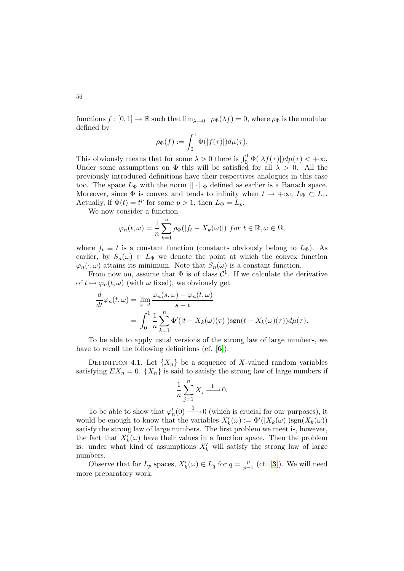functions  $f : [0, 1] \to \mathbb{R}$  such that  $\lim_{\lambda \to 0^+} \rho_{\Phi}(\lambda f) = 0$ , where  $\rho_{\Phi}$  is the modular defined by

$$
\rho_{\Phi}(f) := \int_0^1 \Phi(|f(\tau)|) d\mu(\tau).
$$

This obviously means that for some  $\lambda > 0$  there is  $\int_0^1 \Phi(|\lambda f(\tau)|) d\mu(\tau) < +\infty$ . Under some assumptions on  $\Phi$  this will be satisfied for all  $\lambda > 0$ . All the previously introduced definitions have their respectives analogues in this case too. The space  $L_{\Phi}$  with the norm  $\|\cdot\|_{\Phi}$  defined as earlier is a Banach space. Moreover, since  $\Phi$  is convex and tends to infinity when  $t \to +\infty$ ,  $L_{\Phi} \subset L_1$ . Actually, if  $\Phi(t) = t^p$  for some  $p > 1$ , then  $L_{\Phi} = L_p$ .

We now consider a function

$$
\varphi_n(t,\omega)=\frac{1}{n}\sum_{k=1}^n\rho_\Phi(|f_t-X_k(\omega)|)\ \ for\ t\in\mathbb{R},\omega\in\Omega,
$$

where  $f_t \equiv t$  is a constant function (constants obviously belong to  $L_{\Phi}$ ). As earlier, by  $S_n(\omega) \in L_{\Phi}$  we denote the point at which the convex function  $\varphi_n(\cdot,\omega)$  attains its minimum. Note that  $S_n(\omega)$  is a constant function.

From now on, assume that  $\Phi$  is of class  $\mathcal{C}^1$ . If we calculate the derivative of  $t \mapsto \varphi_n(t,\omega)$  (with  $\omega$  fixed), we obviously get

$$
\frac{d}{dt}\varphi_n(t,\omega) = \lim_{s \to t} \frac{\varphi_n(s,\omega) - \varphi_n(t,\omega)}{s - t}
$$

$$
= \int_0^1 \frac{1}{n} \sum_{k=1}^n \Phi'( |t - X_k(\omega)(\tau)|) \text{sgn}(t - X_k(\omega)(\tau)) d\mu(\tau).
$$

To be able to apply usual versions of the strong law of large numbers, we have to recall the following definitions (cf. [[6](#page-15-7)]):

DEFINITION 4.1. Let  ${X_n}$  be a sequence of X-valued random variables satisfying  $EX_n = 0$ .  $\{X_n\}$  is said to satisfy the strong law of large numbers if

$$
\frac{1}{n}\sum_{j=1}^{n}X_{j}\xrightarrow{1}0.
$$

To be able to show that  $\varphi'_n(0) \longrightarrow 0$  (which is crucial for our purposes), it would be enough to know that the variables  $X'_{k}(\omega) := \Phi'(X_{k}(\omega)) \text{sgn}(X_{k}(\omega))$ satisfy the strong law of large numbers. The first problem we meet is, however, the fact that  $X'_k(\omega)$  have their values in a function space. Then the problem is: under what kind of assumptions  $X'_k$  will satisfy the strong law of large numbers.

Observe that for  $L_p$  spaces,  $X'_k(\omega) \in L_q$  for  $q = \frac{p}{p-1}$  $\frac{p}{p-1}$  (cf. [[3](#page-15-0)]). We will need more preparatory work.

56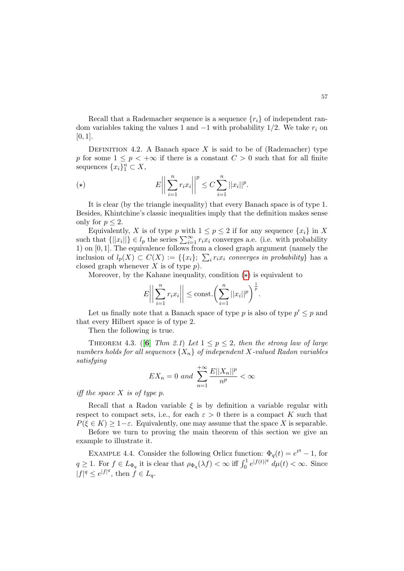Recall that a Rademacher sequence is a sequence  ${r_i}$  of independent random variables taking the values 1 and  $-1$  with probability 1/2. We take  $r_i$  on  $[0, 1].$ 

DEFINITION 4.2. A Banach space X is said to be of (Rademacher) type p for some  $1 \leq p < +\infty$  if there is a constant  $C > 0$  such that for all finite sequences  $\{x_i\}_1^n \subset X$ ,

$$
(\star) \qquad \qquad E\bigg|\bigg|\sum_{i=1}^n r_i x_i\bigg|\bigg|^p \leq C \sum_{i=1}^n ||x_i||^p.
$$

It is clear (by the triangle inequality) that every Banach space is of type 1. Besides, Khintchine's classic inequalities imply that the definition makes sense only for  $p < 2$ .

Equivalently, X is of type p with  $1 \leq p \leq 2$  if for any sequence  $\{x_i\}$  in X such that  $\{|x_i|\}\in l_p$  the series  $\sum_{i=1}^{\infty} r_i x_i$  converges a.e. (i.e. with probability 1) on [0, 1]. The equivalence follows from a closed graph argument (namely the inclusion of  $l_p(X) \subset C(X) := \{ \{x_i\}; \sum_i r_i x_i \text{ converges in probability} \}$  has a closed graph whenever  $X$  is of type  $p$ ).

Moreover, by the Kahane inequality, condition  $(\star)$  is equivalent to

<span id="page-12-0"></span>
$$
E\bigg|\bigg|\sum_{i=1}^n r_i x_i\bigg|\bigg|\leq \text{const.}\bigg(\sum_{i=1}^n ||x_i||^p\bigg)^{\frac{1}{p}}.
$$

Let us finally note that a Banach space of type p is also of type  $p' \leq p$  and that every Hilbert space is of type 2.

Then the following is true.

THEOREM 4.3. ([[6](#page-15-7)] Thm 2.1) Let  $1 \le p \le 2$ , then the strong law of large numbers holds for all sequences  $\{X_n\}$  of independent X-valued Radon variables satisfying

$$
EX_n = 0 \text{ and } \sum_{n=1}^{+\infty} \frac{E||X_n||^p}{n^p} < \infty
$$

iff the space  $X$  is of type  $p$ .

Recall that a Radon variable  $\xi$  is by definition a variable regular with respect to compact sets, i.e., for each  $\varepsilon > 0$  there is a compact K such that  $P(\xi \in K) \geq 1-\varepsilon$ . Equivalently, one may assume that the space X is separable.

Before we turn to proving the main theorem of this section we give an example to illustrate it.

EXAMPLE 4.4. Consider the following Orlicz function:  $\Phi_q(t) = e^{t^q} - 1$ , for  $q \geq 1$ . For  $f \in L_{\Phi_q}$  it is clear that  $\rho_{\Phi_q}(\lambda f) < \infty$  iff  $\int_0^1 e^{|f(t)|^q} d\mu(t) < \infty$ . Since  $|f|^q \leq e^{|f|^q}$ , then  $f \in L_q$ .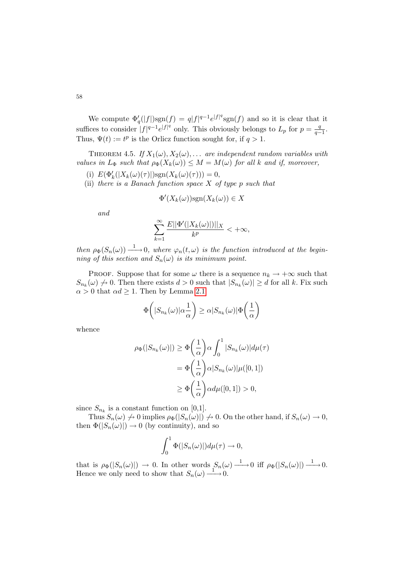We compute  $\Phi'_q(|f|)sgn(f) = q|f|^{q-1}e^{|f|^q}sgn(f)$  and so it is clear that it suffices to consider  $|f|^{q-1}e^{|f|^q}$  only. This obviously belongs to  $L_p$  for  $p=\frac{q}{q-1}$  $\frac{q}{q-1}$ . Thus,  $\Psi(t) := t^p$  is the Orlicz function sought for, if  $q > 1$ .

THEOREM 4.5. If  $X_1(\omega), X_2(\omega), \ldots$  are independent random variables with values in  $L_{\Phi}$  such that  $\rho_{\Phi}(X_k(\omega)) \leq M = M(\omega)$  for all k and if, moreover,

- (i)  $E(\Phi'_k(|X_k(\omega)(\tau)|)\text{sgn}(X_k(\omega)(\tau)))=0,$
- (ii) there is a Banach function space  $X$  of type p such that

$$
\Phi'(X_k(\omega))\text{sgn}(X_k(\omega)) \in X
$$

and

$$
\sum_{k=1}^{\infty} \frac{E||\Phi'(|X_k(\omega)|)||_X}{k^p} < +\infty,
$$

then  $\rho_{\Phi}(S_n(\omega)) \longrightarrow 0$ , where  $\varphi_n(t,\omega)$  is the function introduced at the beginning of this section and  $S_n(\omega)$  is its minimum point.

PROOF. Suppose that for some  $\omega$  there is a sequence  $n_k \to +\infty$  such that  $S_{n_k}(\omega) \nrightarrow 0$ . Then there exists  $d > 0$  such that  $|S_{n_k}(\omega)| \geq d$  for all k. Fix such  $\alpha > 0$  that  $\alpha d \geq 1$ . Then by Lemma [2.1](#page-2-1)

$$
\Phi\bigg(|S_{n_k}(\omega)|\alpha\frac{1}{\alpha}\bigg) \ge \alpha|S_{n_k}(\omega)|\Phi\bigg(\frac{1}{\alpha}\bigg)
$$

whence

$$
\rho_{\Phi}(|S_{n_k}(\omega)|) \geq \Phi\left(\frac{1}{\alpha}\right) \alpha \int_0^1 |S_{n_k}(\omega)| d\mu(\tau)
$$

$$
= \Phi\left(\frac{1}{\alpha}\right) \alpha |S_{n_k}(\omega)| \mu([0,1])
$$

$$
\geq \Phi\left(\frac{1}{\alpha}\right) \alpha d\mu([0,1]) > 0,
$$

since  $S_{n_k}$  is a constant function on [0,1].

Thus  $S_n(\omega) \nrightarrow 0$  implies  $\rho_{\Phi}(|S_n(\omega)|) \nrightarrow 0$ . On the other hand, if  $S_n(\omega) \nrightarrow 0$ , then  $\Phi(|S_n(\omega)|) \to 0$  (by continuity), and so

$$
\int_0^1 \Phi(|S_n(\omega)|) d\mu(\tau) \to 0,
$$

that is  $\rho_{\Phi}(|S_n(\omega)|) \to 0$ . In other words  $S_n(\omega) \longrightarrow 0$  iff  $\rho_{\Phi}(|S_n(\omega)|) \longrightarrow 0$ . Hence we only need to show that  $S_n(\omega) \longrightarrow 0$ .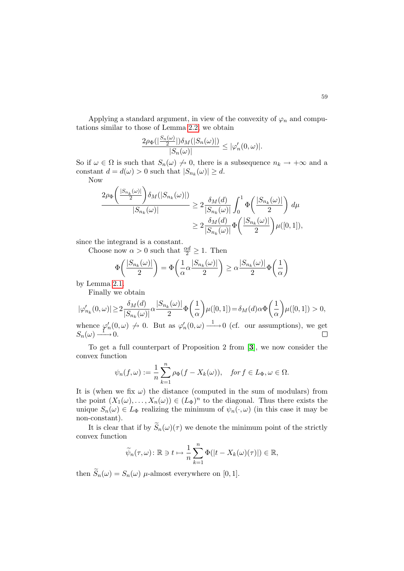Applying a standard argument, in view of the convexity of  $\varphi_n$  and computations similar to those of Lemma [2.2,](#page-2-2) we obtain

$$
\frac{2\rho_{\Phi}(|\frac{S_n(\omega)}{2}|)\delta_M(|S_n(\omega)|)}{|S_n(\omega)|}\leq |\varphi_n'(0,\omega)|.
$$

So if  $\omega \in \Omega$  is such that  $S_n(\omega) \nrightarrow 0$ , there is a subsequence  $n_k \rightarrow +\infty$  and a constant  $d = d(\omega) > 0$  such that  $|S_{n_k}(\omega)| \geq d$ .

Now

$$
\frac{2\rho_{\Phi}\left(\frac{|S_{n_k}(\omega)|}{2}\right)\delta_M(|S_{n_k}(\omega)|)}{|S_{n_k}(\omega)|} \geq 2\frac{\delta_M(d)}{|S_{n_k}(\omega)|}\int_0^1 \Phi\left(\frac{|S_{n_k}(\omega)|}{2}\right)d\mu
$$

$$
\geq 2\frac{\delta_M(d)}{|S_{n_k}(\omega)|}\Phi\left(\frac{|S_{n_k}(\omega)|}{2}\right)\mu([0,1]),
$$

since the integrand is a constant.

Choose now  $\alpha > 0$  such that  $\frac{\alpha d}{2} \geq 1$ . Then

$$
\Phi\left(\frac{|S_{n_k}(\omega)|}{2}\right) = \Phi\left(\frac{1}{\alpha}\alpha \frac{|S_{n_k}(\omega)|}{2}\right) \ge \alpha \frac{|S_{n_k}(\omega)|}{2} \Phi\left(\frac{1}{\alpha}\right)
$$

by Lemma [2.1.](#page-2-1)

Finally we obtain

$$
|\varphi_{n_k}'(0,\omega)| \ge 2 \frac{\delta_M(d)}{|S_{n_k}(\omega)|} \alpha \frac{|S_{n_k}(\omega)|}{2} \Phi\left(\frac{1}{\alpha}\right) \mu([0,1]) = \delta_M(d) \alpha \Phi\left(\frac{1}{\alpha}\right) \mu([0,1]) > 0,
$$
  
whence  $\varphi_n'(0,\omega) \nrightarrow 0$ . But as  $\varphi_n'(0,\omega) \xrightarrow{1} 0$  (cf. our assumptions), we get  
 $S_n(\omega) \xrightarrow{1} 0$ .

To get a full counterpart of Proposition 2 from [[3](#page-15-0)], we now consider the convex function

$$
\psi_n(f,\omega) := \frac{1}{n} \sum_{k=1}^n \rho_{\Phi}(f - X_k(\omega)), \quad \text{for } f \in L_{\Phi}, \omega \in \Omega.
$$

It is (when we fix  $\omega$ ) the distance (computed in the sum of modulars) from the point  $(X_1(\omega),...,X_n(\omega)) \in (L_{\Phi})^n$  to the diagonal. Thus there exists the unique  $S_n(\omega) \in L_{\Phi}$  realizing the minimum of  $\psi_n(\cdot, \omega)$  (in this case it may be non-constant).

It is clear that if by  $\widetilde{S}_n(\omega)(\tau)$  we denote the minimum point of the strictly convex function

$$
\widetilde{\psi}_n(\tau,\omega) \colon \mathbb{R} \ni t \mapsto \frac{1}{n} \sum_{k=1}^n \Phi(|t - X_k(\omega)(\tau)|) \in \mathbb{R},
$$

then  $\widetilde{S}_n(\omega) = S_n(\omega)$  *µ*-almost everywhere on [0, 1].